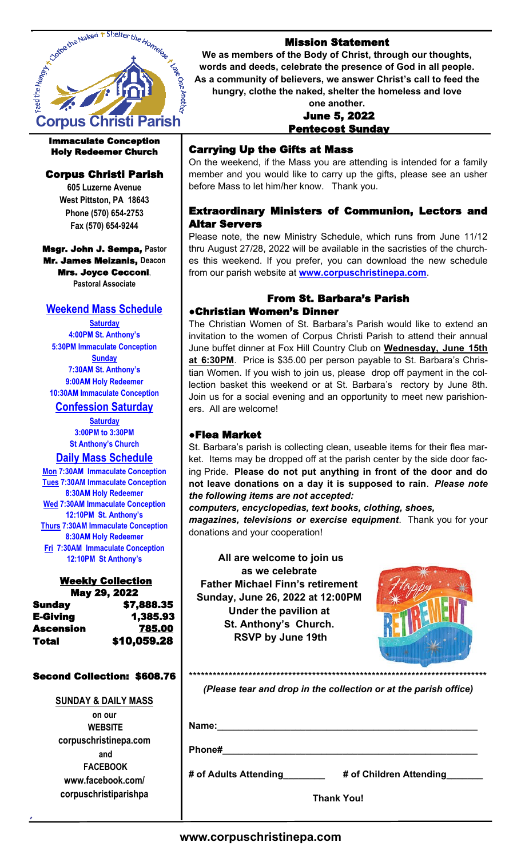

#### Immaculate Conception Holy Redeemer Church

# Corpus Christi Parish

**605 Luzerne Avenue West Pittston, PA 18643 Phone (570) 654-2753 Fax (570) 654-9244**

#### Msgr. John J. Sempa, **Pastor** Mr. James Meizanis, **Deacon** Mrs. Joyce Cecconi, **Pastoral Associate**

# **Weekend Mass Schedule**

**Saturday 4:00PM St. Anthony's 5:30PM Immaculate Conception Sunday 7:30AM St. Anthony's 9:00AM Holy Redeemer 10:30AM Immaculate Conception**

# **Confession Saturday**

**Saturday 3:00PM to 3:30PM St Anthony's Church**

# **Daily Mass Schedule**

**Mon 7:30AM Immaculate Conception Tues 7:30AM Immaculate Conception 8:30AM Holy Redeemer Wed 7:30AM Immaculate Conception 12:10PM St. Anthony's Thurs 7:30AM Immaculate Conception 8:30AM Holy Redeemer Fri 7:30AM Immaculate Conception 12:10PM St Anthony's**

# Weekly Collection

| May 29, 2022 |             |
|--------------|-------------|
| Sunday       | \$7,888.35  |
| E-Giving     | 1,385.93    |
| Ascension    | 785.00      |
| Total        | \$10,059.28 |

#### Second Collection: \$608.76

## **SUNDAY & DAILY MASS**

**on our WEBSITE corpuschristinepa.com and FACEBOOK www.facebook.com/ corpuschristiparishpa**

## Mission Statement

**We as members of the Body of Christ, through our thoughts, words and deeds, celebrate the presence of God in all people. As a community of believers, we answer Christ's call to feed the hungry, clothe the naked, shelter the homeless and love** 

#### **one another.**  June 5, 2022 Pentecost Sunday

# Carrying Up the Gifts at Mass

On the weekend, if the Mass you are attending is intended for a family member and you would like to carry up the gifts, please see an usher before Mass to let him/her know. Thank you.

## Extraordinary Ministers of Communion, Lectors and Altar Servers

Please note, the new Ministry Schedule, which runs from June 11/12 thru August 27/28, 2022 will be available in the sacristies of the churches this weekend. If you prefer, you can download the new schedule from our parish website at **www.corpuschristinepa.com**.

# From St. Barbara's Parish

## ●Christian Women's Dinner

The Christian Women of St. Barbara's Parish would like to extend an invitation to the women of Corpus Christi Parish to attend their annual June buffet dinner at Fox Hill Country Club on **Wednesday, June 15th at 6:30PM**. Price is \$35.00 per person payable to St. Barbara's Christian Women. If you wish to join us, please drop off payment in the collection basket this weekend or at St. Barbara's rectory by June 8th. Join us for a social evening and an opportunity to meet new parishioners. All are welcome!

## ●Flea Market

St. Barbara's parish is collecting clean, useable items for their flea market. Items may be dropped off at the parish center by the side door facing Pride. **Please do not put anything in front of the door and do not leave donations on a day it is supposed to rain**. *Please note the following items are not accepted:* 

*computers, encyclopedias, text books, clothing, shoes,* 

*magazines, televisions or exercise equipment*. Thank you for your donations and your cooperation!

 **All are welcome to join us as we celebrate Father Michael Finn's retirement Sunday, June 26, 2022 at 12:00PM Under the pavilion at St. Anthony's Church. RSVP by June 19th**



*(Please tear and drop in the collection or at the parish office)* 

**Name:\_\_\_\_\_\_\_\_\_\_\_\_\_\_\_\_\_\_\_\_\_\_\_\_\_\_\_\_\_\_\_\_\_\_\_\_\_\_\_\_\_\_\_\_\_\_\_\_\_\_**

**Phone#\_\_\_\_\_\_\_\_\_\_\_\_\_\_\_\_\_\_\_\_\_\_\_\_\_\_\_\_\_\_\_\_\_\_\_\_\_\_\_\_\_\_\_\_\_\_\_\_\_**

**# of Adults Attending\_\_\_\_\_\_\_\_ # of Children Attending\_\_\_\_\_\_\_**

**Thank You!**